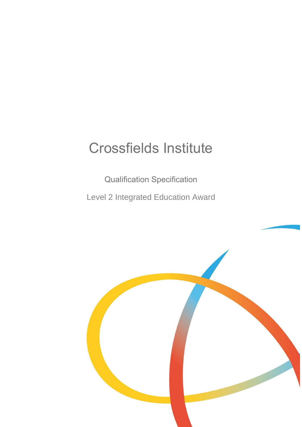# Crossfields Institute

Qualification Specification Level 2 Integrated Education Award

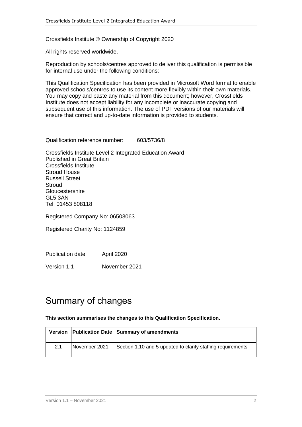Crossfields Institute © Ownership of Copyright 2020

All rights reserved worldwide.

Reproduction by schools/centres approved to deliver this qualification is permissible for internal use under the following conditions:

This Qualification Specification has been provided in Microsoft Word format to enable approved schools/centres to use its content more flexibly within their own materials. You may copy and paste any material from this document; however, Crossfields Institute does not accept liability for any incomplete or inaccurate copying and subsequent use of this information. The use of PDF versions of our materials will ensure that correct and up-to-date information is provided to students.

Qualification reference number: 603/5736/8

Crossfields Institute Level 2 Integrated Education Award Published in Great Britain Crossfields Institute Stroud House Russell Street **Stroud Gloucestershire** GL5 3AN Tel: 01453 808118

Registered Company No: 06503063

Registered Charity No: 1124859

Publication date April 2020

Version 1.1 November 2021

## <span id="page-1-0"></span>Summary of changes

**This section summarises the changes to this Qualification Specification.**

|     |               | Version   Publication Date   Summary of amendments          |
|-----|---------------|-------------------------------------------------------------|
| 2.1 | November 2021 | Section 1.10 and 5 updated to clarify staffing requirements |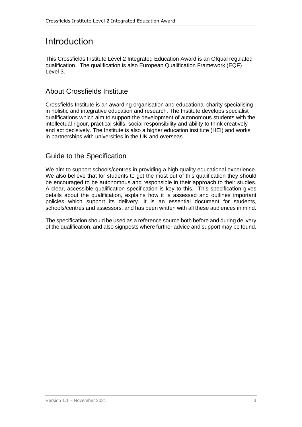## <span id="page-2-0"></span>Introduction

This Crossfields Institute Level 2 Integrated Education Award is an Ofqual regulated qualification. The qualification is also European Qualification Framework (EQF) Level 3.

### <span id="page-2-1"></span>About Crossfields Institute

Crossfields Institute is an awarding organisation and educational charity specialising in holistic and integrative education and research. The Institute develops specialist qualifications which aim to support the development of autonomous students with the intellectual rigour, practical skills, social responsibility and ability to think creatively and act decisively. The Institute is also a higher education institute (HEI) and works in partnerships with universities in the UK and overseas.

### <span id="page-2-2"></span>Guide to the Specification

We aim to support schools/centres in providing a high quality educational experience. We also believe that for students to get the most out of this qualification they should be encouraged to be autonomous and responsible in their approach to their studies. A clear, accessible qualification specification is key to this. This specification gives details about the qualification, explains how it is assessed and outlines important policies which support its delivery. It is an essential document for students, schools/centres and assessors, and has been written with all these audiences in mind.

The specification should be used as a reference source both before and during delivery of the qualification, and also signposts where further advice and support may be found.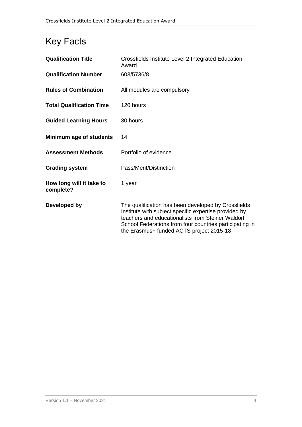## <span id="page-3-0"></span>Key Facts

| <b>Qualification Title</b>            | Crossfields Institute Level 2 Integrated Education<br>Award                                                                                                                                                                                                              |
|---------------------------------------|--------------------------------------------------------------------------------------------------------------------------------------------------------------------------------------------------------------------------------------------------------------------------|
| <b>Qualification Number</b>           | 603/5736/8                                                                                                                                                                                                                                                               |
| <b>Rules of Combination</b>           | All modules are compulsory                                                                                                                                                                                                                                               |
| <b>Total Qualification Time</b>       | 120 hours                                                                                                                                                                                                                                                                |
| <b>Guided Learning Hours</b>          | 30 hours                                                                                                                                                                                                                                                                 |
| Minimum age of students               | 14                                                                                                                                                                                                                                                                       |
| <b>Assessment Methods</b>             | Portfolio of evidence                                                                                                                                                                                                                                                    |
| <b>Grading system</b>                 | Pass/Merit/Distinction                                                                                                                                                                                                                                                   |
| How long will it take to<br>complete? | 1 year                                                                                                                                                                                                                                                                   |
| Developed by                          | The qualification has been developed by Crossfields<br>Institute with subject specific expertise provided by<br>teachers and educationalists from Steiner Waldorf<br>School Federations from four countries participating in<br>the Erasmus+ funded ACTS project 2015-18 |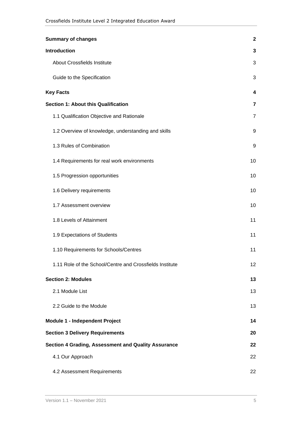| <b>Summary of changes</b>                                  | $\mathbf{2}$    |
|------------------------------------------------------------|-----------------|
| <b>Introduction</b>                                        | 3               |
| <b>About Crossfields Institute</b>                         | 3               |
| Guide to the Specification                                 | 3               |
| <b>Key Facts</b>                                           | 4               |
| <b>Section 1: About this Qualification</b>                 | $\overline{7}$  |
| 1.1 Qualification Objective and Rationale                  | $\overline{7}$  |
| 1.2 Overview of knowledge, understanding and skills        | 9               |
| 1.3 Rules of Combination                                   | 9               |
| 1.4 Requirements for real work environments                | 10              |
| 1.5 Progression opportunities                              | 10              |
| 1.6 Delivery requirements                                  | 10              |
| 1.7 Assessment overview                                    | 10              |
| 1.8 Levels of Attainment                                   | 11              |
| 1.9 Expectations of Students                               | 11              |
| 1.10 Requirements for Schools/Centres                      | 11              |
| 1.11 Role of the School/Centre and Crossfields Institute   | 12 <sup>2</sup> |
| <b>Section 2: Modules</b>                                  | 13              |
| 2.1 Module List                                            | 13              |
| 2.2 Guide to the Module                                    | 13              |
| Module 1 - Independent Project                             | 14              |
| <b>Section 3 Delivery Requirements</b>                     | 20              |
| <b>Section 4 Grading, Assessment and Quality Assurance</b> | 22              |
| 4.1 Our Approach                                           | 22              |
| 4.2 Assessment Requirements                                | 22              |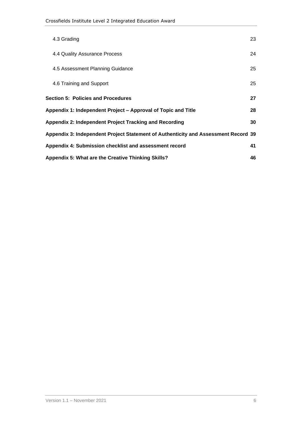| 4.3 Grading                                                                        | 23 |
|------------------------------------------------------------------------------------|----|
| 4.4 Quality Assurance Process                                                      | 24 |
| 4.5 Assessment Planning Guidance                                                   | 25 |
| 4.6 Training and Support                                                           | 25 |
| <b>Section 5: Policies and Procedures</b>                                          | 27 |
| Appendix 1: Independent Project – Approval of Topic and Title                      | 28 |
| Appendix 2: Independent Project Tracking and Recording                             | 30 |
| Appendix 3: Independent Project Statement of Authenticity and Assessment Record 39 |    |
| Appendix 4: Submission checklist and assessment record                             | 41 |
| Appendix 5: What are the Creative Thinking Skills?                                 | 46 |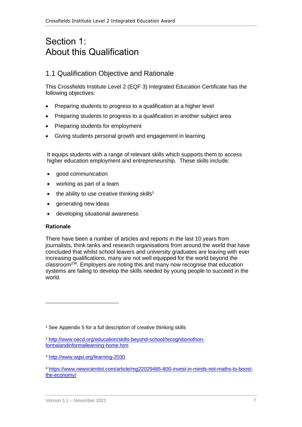## <span id="page-6-0"></span>Section 1: About this Qualification

### <span id="page-6-1"></span>1.1 Qualification Objective and Rationale

This Crossfields Institute Level 2 (EQF 3) Integrated Education Certificate has the following objectives:

- Preparing students to progress to a qualification at a higher level
- Preparing students to progress to a qualification in another subject area
- Preparing students for employment
- Giving students personal growth and engagement in learning

It equips students with a range of relevant skills which supports them to access higher education employment and entrepreneurship. These skills include:

- good communication
- working as part of a team
- the ability to use creative thinking skills<sup>1</sup>
- generating new ideas
- developing situational awareness

#### **Rationale**

There have been a number of articles and reports in the last 10 years from journalists, think tanks and research organisations from around the world that have concluded that whilst school leavers and university graduates are leaving with ever increasing qualifications, many are not well equipped for the world beyond the classroom<sup>234</sup>. Employers are noting this and many now recognise that education systems are failing to develop the skills needed by young people to succeed in the world.

<sup>&</sup>lt;sup>1</sup> See Appendix 5 for a full description of creative thinking skills

<sup>2</sup> [http://www.oecd.org/education/skills-beyond-school/recognitionofnon](http://www.oecd.org/education/skills-beyond-school/recognitionofnon-formalandinformallearning-home.htm)[formalandinformallearning-home.htm](http://www.oecd.org/education/skills-beyond-school/recognitionofnon-formalandinformallearning-home.htm)

<sup>3</sup> <http://www.wgsi.org/learning-2030>

<sup>4</sup> [https://www.newscientist.com/article/mg22029485-800-invest-in-minds-not-maths-to-boost](https://www.newscientist.com/article/mg22029485-800-invest-in-minds-not-maths-to-boost-the-economy/)[the-economy/](https://www.newscientist.com/article/mg22029485-800-invest-in-minds-not-maths-to-boost-the-economy/)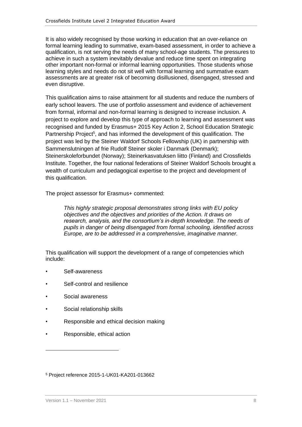It is also widely recognised by those working in education that an over-reliance on formal learning leading to summative, exam-based assessment, in order to achieve a qualification, is not serving the needs of many school-age students. The pressures to achieve in such a system inevitably devalue and reduce time spent on integrating other important non-formal or informal learning opportunities. Those students whose learning styles and needs do not sit well with formal learning and summative exam assessments are at greater risk of becoming disillusioned, disengaged, stressed and even disruptive.

This qualification aims to raise attainment for all students and reduce the numbers of early school leavers. The use of portfolio assessment and evidence of achievement from formal, informal and non-formal learning is designed to increase inclusion. A project to explore and develop this type of approach to learning and assessment was recognised and funded by Erasmus+ 2015 Key Action 2, School Education Strategic Partnership Project<sup>5</sup>, and has informed the development of this qualification. The project was led by the Steiner Waldorf Schools Fellowship (UK) in partnership with Sammenslutningen af frie Rudolf Steiner skoler i Danmark (Denmark); Steinerskoleforbundet (Norway); Steinerkasvatuksen liitto (Finland) and Crossfields Institute. Together, the four national federations of Steiner Waldorf Schools brought a wealth of curriculum and pedagogical expertise to the project and development of this qualification.

The project assessor for Erasmus+ commented:

*This highly strategic proposal demonstrates strong links with EU policy objectives and the objectives and priorities of the Action. It draws on research, analysis, and the consortium's in-depth knowledge. The needs of pupils in danger of being disengaged from formal schooling, identified across Europe, are to be addressed in a comprehensive, imaginative manner.*

This qualification will support the development of a range of competencies which include:

- Self-awareness
- Self-control and resilience
- Social awareness
- Social relationship skills
- Responsible and ethical decision making
- Responsible, ethical action

<sup>5</sup> Project reference 2015-1-UK01-KA201-013662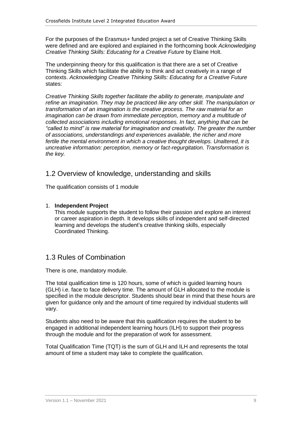For the purposes of the Erasmus+ funded project a set of Creative Thinking Skills were defined and are explored and explained in the forthcoming book *Acknowledging Creative Thinking Skills: Educating for a Creative Future* by Elaine Holt.

The underpinning theory for this qualification is that there are a set of Creative Thinking Skills which facilitate the ability to think and act creatively in a range of contexts. *Acknowledging Creative Thinking Skills: Educating for a Creative Future* states:

*Creative Thinking Skills together facilitate the ability to generate, manipulate and refine an imagination. They may be practiced like any other skill. The manipulation or transformation of an imagination is the creative process. The raw material for an imagination can be drawn from immediate perception, memory and a multitude of collected associations including emotional responses. In fact, anything that can be "called to mind" is raw material for imagination and creativity. The greater the number of associations, understandings and experiences available, the richer and more fertile the mental environment in which a creative thought develops. Unaltered, it is uncreative information: perception, memory or fact-regurgitation. Transformation is the key.*

### <span id="page-8-0"></span>1.2 Overview of knowledge, understanding and skills

The qualification consists of 1 module

#### 1. **Independent Project**

This module supports the student to follow their passion and explore an interest or career aspiration in depth. It develops skills of independent and self-directed learning and develops the student's creative thinking skills, especially Coordinated Thinking.

### <span id="page-8-1"></span>1.3 Rules of Combination

There is one, mandatory module.

The total qualification time is 120 hours, some of which is guided learning hours (GLH) i.e. face to face delivery time. The amount of GLH allocated to the module is specified in the module descriptor. Students should bear in mind that these hours are given for guidance only and the amount of time required by individual students will vary.

Students also need to be aware that this qualification requires the student to be engaged in additional independent learning hours (ILH) to support their progress through the module and for the preparation of work for assessment.

Total Qualification Time (TQT) is the sum of GLH and ILH and represents the total amount of time a student may take to complete the qualification.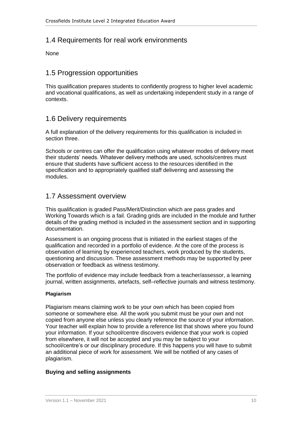### <span id="page-9-0"></span>1.4 Requirements for real work environments

None

### <span id="page-9-1"></span>1.5 Progression opportunities

This qualification prepares students to confidently progress to higher level academic and vocational qualifications, as well as undertaking independent study in a range of contexts.

### <span id="page-9-2"></span>1.6 Delivery requirements

A full explanation of the delivery requirements for this qualification is included in section three.

Schools or centres can offer the qualification using whatever modes of delivery meet their students' needs. Whatever delivery methods are used, schools/centres must ensure that students have sufficient access to the resources identified in the specification and to appropriately qualified staff delivering and assessing the modules.

#### <span id="page-9-3"></span>1.7 Assessment overview

This qualification is graded Pass/Merit/Distinction which are pass grades and Working Towards which is a fail. Grading grids are included in the module and further details of the grading method is included in the assessment section and in supporting documentation.

Assessment is an ongoing process that is initiated in the earliest stages of the qualification and recorded in a portfolio of evidence. At the core of the process is observation of learning by experienced teachers, work produced by the students, questioning and discussion. These assessment methods may be supported by peer observation or feedback as witness testimony.

The portfolio of evidence may include feedback from a teacher/assessor, a learning journal, written assignments, artefacts, self–reflective journals and witness testimony.

#### **Plagiarism**

Plagiarism means claiming work to be your own which has been copied from someone or somewhere else. All the work you submit must be your own and not copied from anyone else unless you clearly reference the source of your information. Your teacher will explain how to provide a reference list that shows where you found your information. If your school/centre discovers evidence that your work is copied from elsewhere, it will not be accepted and you may be subject to your school/centre's or our disciplinary procedure. If this happens you will have to submit an additional piece of work for assessment. We will be notified of any cases of plagiarism.

#### **Buying and selling assignments**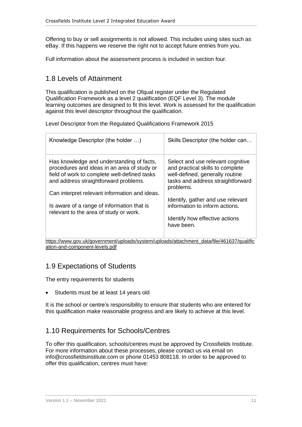Offering to buy or sell assignments is not allowed. This includes using sites such as eBay. If this happens we reserve the right not to accept future entries from you.

Full information about the assessment process is included in section four.

### <span id="page-10-0"></span>1.8 Levels of Attainment

This qualification is published on the Ofqual register under the Regulated Qualification Framework as a level 2 qualification (EQF Level 3). The module learning outcomes are designed to fit this level. Work is assessed for the qualification against this level descriptor throughout the qualification.

Level Descriptor from the Regulated Qualifications Framework 2015

| Knowledge Descriptor (the holder )                                                                                                                                                                                                                                                                                         | Skills Descriptor (the holder can                                                                                                                                                                                                                                                 |
|----------------------------------------------------------------------------------------------------------------------------------------------------------------------------------------------------------------------------------------------------------------------------------------------------------------------------|-----------------------------------------------------------------------------------------------------------------------------------------------------------------------------------------------------------------------------------------------------------------------------------|
| Has knowledge and understanding of facts,<br>procedures and ideas in an area of study or<br>field of work to complete well-defined tasks<br>and address straightforward problems.<br>Can interpret relevant information and ideas.<br>Is aware of a range of information that is<br>relevant to the area of study or work. | Select and use relevant cognitive<br>and practical skills to complete<br>well-defined, generally routine<br>tasks and address straightforward<br>problems.<br>Identify, gather and use relevant<br>information to inform actions.<br>Identify how effective actions<br>have been. |

[https://www.gov.uk/government/uploads/system/uploads/attachment\\_data/file/461637/qualific](https://www.gov.uk/government/uploads/system/uploads/attachment_data/file/461637/qualification-and-component-levels.pdf) [ation-and-component-levels.pdf](https://www.gov.uk/government/uploads/system/uploads/attachment_data/file/461637/qualification-and-component-levels.pdf)

### <span id="page-10-1"></span>1.9 Expectations of Students

The entry requirements for students

• Students must be at least 14 years old

It is the school or centre's responsibility to ensure that students who are entered for this qualification make reasonable progress and are likely to achieve at this level.

### <span id="page-10-2"></span>1.10 Requirements for Schools/Centres

To offer this qualification, schools/centres must be approved by Crossfields Institute. For more information about these processes, please contact us via email on [info@crossfieldsinstitute.com](mailto:info@crossfieldsinstitute.com) or phone 01453 808118. In order to be approved to offer this qualification, centres must have: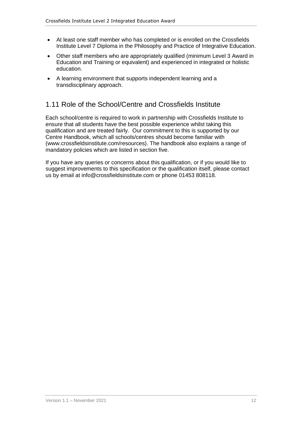- At least one staff member who has completed or is enrolled on the Crossfields Institute Level 7 Diploma in the Philosophy and Practice of Integrative Education.
- Other staff members who are appropriately qualified (minimum Level 3 Award in Education and Training or equivalent) and experienced in integrated or holistic education.
- A learning environment that supports independent learning and a transdisciplinary approach.

### <span id="page-11-0"></span>1.11 Role of the School/Centre and Crossfields Institute

Each school/centre is required to work in partnership with Crossfields Institute to ensure that all students have the best possible experience whilst taking this qualification and are treated fairly. Our commitment to this is supported by our Centre Handbook, which all schools/centres should become familiar with (www.crossfieldsinstitute.com/resources). The handbook also explains a range of mandatory policies which are listed in section five.

If you have any queries or concerns about this qualification, or if you would like to suggest improvements to this specification or the qualification itself, please contact us by email at info@crossfieldsinstitute.com or phone 01453 808118.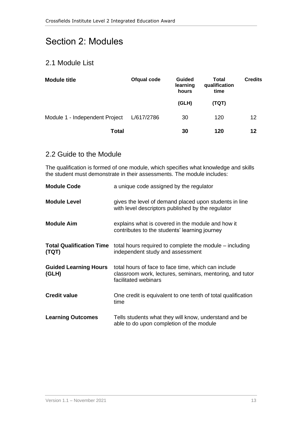## <span id="page-12-0"></span>Section 2: Modules

### <span id="page-12-1"></span>2.1 Module List

| <b>Module title</b>            | Ofqual code | <b>Guided</b><br>learning<br>hours | <b>Total</b><br>qualification<br>time | <b>Credits</b> |  |
|--------------------------------|-------------|------------------------------------|---------------------------------------|----------------|--|
|                                |             | (GLH)                              | (TQT)                                 |                |  |
| Module 1 - Independent Project | L/617/2786  | 30                                 | 120                                   | 12             |  |
| <b>Total</b>                   |             | 30                                 | 120                                   | 12             |  |

### <span id="page-12-2"></span>2.2 Guide to the Module

The qualification is formed of one module, which specifies what knowledge and skills the student must demonstrate in their assessments. The module includes:

| <b>Module Code</b>                       | a unique code assigned by the regulator                                                                                                 |
|------------------------------------------|-----------------------------------------------------------------------------------------------------------------------------------------|
| <b>Module Level</b>                      | gives the level of demand placed upon students in line<br>with level descriptors published by the regulator                             |
| <b>Module Aim</b>                        | explains what is covered in the module and how it<br>contributes to the students' learning journey                                      |
| <b>Total Qualification Time</b><br>(TQT) | total hours required to complete the module – including<br>independent study and assessment                                             |
| <b>Guided Learning Hours</b><br>(GLH)    | total hours of face to face time, which can include<br>classroom work, lectures, seminars, mentoring, and tutor<br>facilitated webinars |
| <b>Credit value</b>                      | One credit is equivalent to one tenth of total qualification<br>time                                                                    |
| <b>Learning Outcomes</b>                 | Tells students what they will know, understand and be<br>able to do upon completion of the module                                       |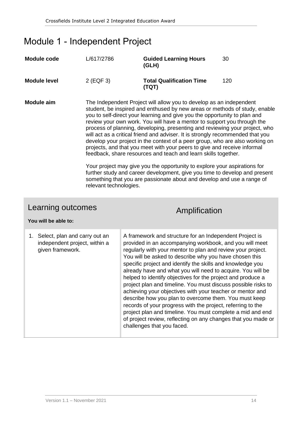## <span id="page-13-0"></span>Module 1 - Independent Project

| <b>Module code</b>                                                                    | L/617/2786  |                                                                                                                                                                                                                                                                                                                                                                                                                                                                                                                                                                                                                                                                                                                                                                                                                                                                                                                                               | <b>Guided Learning Hours</b><br>(GLH)                                                                                                                                                                                                                                                                                                                                                                                                                                                                                                                                                                                                                                                                                                                                                                                                                      | 30  |
|---------------------------------------------------------------------------------------|-------------|-----------------------------------------------------------------------------------------------------------------------------------------------------------------------------------------------------------------------------------------------------------------------------------------------------------------------------------------------------------------------------------------------------------------------------------------------------------------------------------------------------------------------------------------------------------------------------------------------------------------------------------------------------------------------------------------------------------------------------------------------------------------------------------------------------------------------------------------------------------------------------------------------------------------------------------------------|------------------------------------------------------------------------------------------------------------------------------------------------------------------------------------------------------------------------------------------------------------------------------------------------------------------------------------------------------------------------------------------------------------------------------------------------------------------------------------------------------------------------------------------------------------------------------------------------------------------------------------------------------------------------------------------------------------------------------------------------------------------------------------------------------------------------------------------------------------|-----|
| <b>Module level</b>                                                                   | $2$ (EQF 3) |                                                                                                                                                                                                                                                                                                                                                                                                                                                                                                                                                                                                                                                                                                                                                                                                                                                                                                                                               | <b>Total Qualification Time</b><br>(TQT)                                                                                                                                                                                                                                                                                                                                                                                                                                                                                                                                                                                                                                                                                                                                                                                                                   | 120 |
| <b>Module aim</b><br>relevant technologies.                                           |             | The Independent Project will allow you to develop as an independent<br>student, be inspired and enthused by new areas or methods of study, enable<br>you to self-direct your learning and give you the opportunity to plan and<br>review your own work. You will have a mentor to support you through the<br>process of planning, developing, presenting and reviewing your project, who<br>will act as a critical friend and adviser. It is strongly recommended that you<br>develop your project in the context of a peer group, who are also working on<br>projects, and that you meet with your peers to give and receive informal<br>feedback, share resources and teach and learn skills together.<br>Your project may give you the opportunity to explore your aspirations for<br>further study and career development, give you time to develop and present<br>something that you are passionate about and develop and use a range of |                                                                                                                                                                                                                                                                                                                                                                                                                                                                                                                                                                                                                                                                                                                                                                                                                                                            |     |
| Learning outcomes                                                                     |             |                                                                                                                                                                                                                                                                                                                                                                                                                                                                                                                                                                                                                                                                                                                                                                                                                                                                                                                                               | Amplification                                                                                                                                                                                                                                                                                                                                                                                                                                                                                                                                                                                                                                                                                                                                                                                                                                              |     |
| You will be able to:                                                                  |             |                                                                                                                                                                                                                                                                                                                                                                                                                                                                                                                                                                                                                                                                                                                                                                                                                                                                                                                                               |                                                                                                                                                                                                                                                                                                                                                                                                                                                                                                                                                                                                                                                                                                                                                                                                                                                            |     |
| 1. Select, plan and carry out an<br>independent project, within a<br>given framework. |             |                                                                                                                                                                                                                                                                                                                                                                                                                                                                                                                                                                                                                                                                                                                                                                                                                                                                                                                                               | A framework and structure for an Independent Project is<br>provided in an accompanying workbook, and you will meet<br>regularly with your mentor to plan and review your project.<br>You will be asked to describe why you have chosen this<br>specific project and identify the skills and knowledge you<br>already have and what you will need to acquire. You will be<br>helped to identify objectives for the project and produce a<br>project plan and timeline. You must discuss possible risks to<br>achieving your objectives with your teacher or mentor and<br>describe how you plan to overcome them. You must keep<br>records of your progress with the project, referring to the<br>project plan and timeline. You must complete a mid and end<br>of project review, reflecting on any changes that you made or<br>challenges that you faced. |     |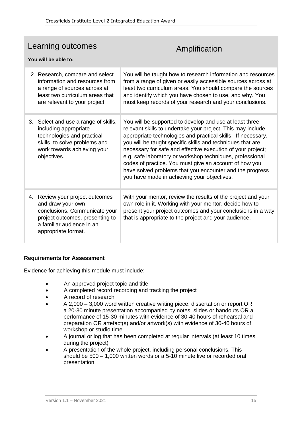### Learning outcomes

## Amplification

#### **You will be able to:**

| 2. Research, compare and select<br>information and resources from<br>a range of sources across at<br>least two curriculum areas that<br>are relevant to your project.        | You will be taught how to research information and resources<br>from a range of given or easily accessible sources across at<br>least two curriculum areas. You should compare the sources<br>and identify which you have chosen to use, and why. You<br>must keep records of your research and your conclusions.                                                                                                                                                                                                                                     |
|------------------------------------------------------------------------------------------------------------------------------------------------------------------------------|-------------------------------------------------------------------------------------------------------------------------------------------------------------------------------------------------------------------------------------------------------------------------------------------------------------------------------------------------------------------------------------------------------------------------------------------------------------------------------------------------------------------------------------------------------|
| 3. Select and use a range of skills,<br>including appropriate<br>technologies and practical<br>skills, to solve problems and<br>work towards achieving your<br>objectives.   | You will be supported to develop and use at least three<br>relevant skills to undertake your project. This may include<br>appropriate technologies and practical skills. If necessary,<br>you will be taught specific skills and techniques that are<br>necessary for safe and effective execution of your project;<br>e.g. safe laboratory or workshop techniques, professional<br>codes of practice. You must give an account of how you<br>have solved problems that you encounter and the progress<br>you have made in achieving your objectives. |
| 4. Review your project outcomes<br>and draw your own<br>conclusions. Communicate your<br>project outcomes, presenting to<br>a familiar audience in an<br>appropriate format. | With your mentor, review the results of the project and your<br>own role in it. Working with your mentor, decide how to<br>present your project outcomes and your conclusions in a way<br>that is appropriate to the project and your audience.                                                                                                                                                                                                                                                                                                       |

#### **Requirements for Assessment**

Evidence for achieving this module must include:

- An approved project topic and title
- A completed record recording and tracking the project
- A record of research
- A 2,000 3,000 word written creative writing piece, dissertation or report OR a 20-30 minute presentation accompanied by notes, slides or handouts OR a performance of 15-30 minutes with evidence of 30-40 hours of rehearsal and preparation OR artefact(s) and/or artwork(s) with evidence of 30-40 hours of workshop or studio time
- A journal or log that has been completed at regular intervals (at least 10 times during the project)
- A presentation of the whole project, including personal conclusions. This should be 500 – 1,000 written words or a 5-10 minute live or recorded oral presentation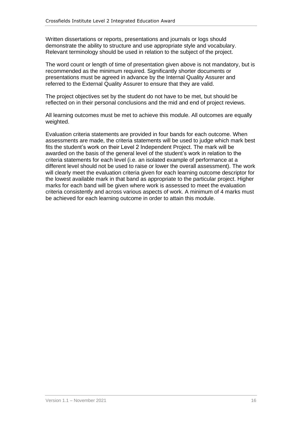Written dissertations or reports, presentations and journals or logs should demonstrate the ability to structure and use appropriate style and vocabulary. Relevant terminology should be used in relation to the subject of the project.

The word count or length of time of presentation given above is not mandatory, but is recommended as the minimum required. Significantly shorter documents or presentations must be agreed in advance by the Internal Quality Assurer and referred to the External Quality Assurer to ensure that they are valid.

The project objectives set by the student do not have to be met, but should be reflected on in their personal conclusions and the mid and end of project reviews.

All learning outcomes must be met to achieve this module. All outcomes are equally weighted.

Evaluation criteria statements are provided in four bands for each outcome. When assessments are made, the criteria statements will be used to judge which mark best fits the student's work on their Level 2 Independent Project. The mark will be awarded on the basis of the general level of the student's work in relation to the criteria statements for each level (i.e. an isolated example of performance at a different level should not be used to raise or lower the overall assessment). The work will clearly meet the evaluation criteria given for each learning outcome descriptor for the lowest available mark in that band as appropriate to the particular project. Higher marks for each band will be given where work is assessed to meet the evaluation criteria consistently and across various aspects of work. A minimum of 4 marks must be achieved for each learning outcome in order to attain this module.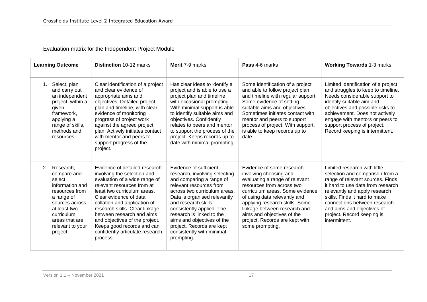Evaluation matrix for the Independent Project Module

| <b>Learning Outcome</b>                                                                                                                                                                       | <b>Distinction 10-12 marks</b>                                                                                                                                                                                                                                                                                                                                                                     | Merit 7-9 marks                                                                                                                                                                                                                                                                                                                                                       | Pass 4-6 marks                                                                                                                                                                                                                                                                                                                             | <b>Working Towards 1-3 marks</b>                                                                                                                                                                                                                                                                                        |
|-----------------------------------------------------------------------------------------------------------------------------------------------------------------------------------------------|----------------------------------------------------------------------------------------------------------------------------------------------------------------------------------------------------------------------------------------------------------------------------------------------------------------------------------------------------------------------------------------------------|-----------------------------------------------------------------------------------------------------------------------------------------------------------------------------------------------------------------------------------------------------------------------------------------------------------------------------------------------------------------------|--------------------------------------------------------------------------------------------------------------------------------------------------------------------------------------------------------------------------------------------------------------------------------------------------------------------------------------------|-------------------------------------------------------------------------------------------------------------------------------------------------------------------------------------------------------------------------------------------------------------------------------------------------------------------------|
| Select, plan<br>1.<br>and carry out<br>an independent<br>project, within a<br>given<br>framework,<br>applying a<br>range of skills,<br>methods and<br>resources.                              | Clear identification of a project<br>and clear evidence of<br>appropriate aims and<br>objectives. Detailed project<br>plan and timeline, with clear<br>evidence of monitoring<br>progress of project work<br>against the agreed project<br>plan. Actively initiates contact<br>with mentor and peers to<br>support progress of the<br>project.                                                     | Has clear ideas to identify a<br>project and is able to use a<br>project plan and timeline<br>with occasional prompting.<br>With minimal support is able<br>to identify suitable aims and<br>objectives. Confidently<br>relates to peers and mentor<br>to support the process of the<br>project. Keeps records up to<br>date with minimal prompting.                  | Some identification of a project<br>and able to follow project plan<br>and timeline with regular support.<br>Some evidence of setting<br>suitable aims and objectives.<br>Sometimes initiates contact with<br>mentor and peers to support<br>process of project. With support,<br>is able to keep records up to<br>date.                   | Limited identification of a project<br>and struggles to keep to timeline.<br>Needs considerable support to<br>identify suitable aim and<br>objectives and possible risks to<br>achievement. Does not actively<br>engage with mentors or peers to<br>support process of project.<br>Record keeping is intermittent.      |
| 2.<br>Research,<br>compare and<br>select<br>information and<br>resources from<br>a range of<br>sources across<br>at least two<br>curriculum<br>areas that are<br>relevant to your<br>project. | Evidence of detailed research<br>involving the selection and<br>evaluation of a wide range of<br>relevant resources from at<br>least two curriculum areas.<br>Clear evidence of data<br>collation and application of<br>research skills. Clear linkage<br>between research and aims<br>and objectives of the project.<br>Keeps good records and can<br>confidently articulate research<br>process. | Evidence of sufficient<br>research, involving selecting<br>and comparing a range of<br>relevant resources from<br>across two curriculum areas.<br>Data is organised relevantly<br>and research skills<br>consistently applied. The<br>research is linked to the<br>aims and objectives of the<br>project. Records are kept<br>consistently with minimal<br>prompting. | Evidence of some research<br>involving choosing and<br>evaluating a range of relevant<br>resources from across two<br>curriculum areas. Some evidence<br>of using data relevantly and<br>applying research skills. Some<br>linkage between research and<br>aims and objectives of the<br>project. Records are kept with<br>some prompting. | Limited research with little<br>selection and comparison from a<br>range of relevant sources. Finds<br>it hard to use data from research<br>relevantly and apply research<br>skills. Finds it hard to make<br>connections between research<br>and aims and objectives of<br>project. Record keeping is<br>intermittent. |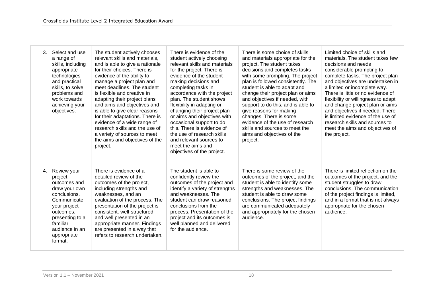| 3. | Select and use<br>a range of<br>skills, including<br>appropriate<br>technologies<br>and practical<br>skills, to solve<br>problems and<br>work towards<br>achieving your<br>objectives.         | The student actively chooses<br>relevant skills and materials.<br>and is able to give a rationale<br>for their choices. There is<br>evidence of the ability to<br>manage a project plan and<br>meet deadlines. The student<br>is flexible and creative in<br>adapting their project plans<br>and aims and objectives and<br>is able to give clear reasons<br>for their adaptations. There is<br>evidence of a wide range of<br>research skills and the use of<br>a variety of sources to meet<br>the aims and objectives of the<br>project. | There is evidence of the<br>student actively choosing<br>relevant skills and materials<br>for the project. There is<br>evidence of the student<br>making decisions and<br>completing tasks in<br>accordance with the project<br>plan. The student shows<br>flexibility in adapting or<br>changing their project plan<br>or aims and objectives with<br>occasional support to do<br>this. There is evidence of<br>the use of research skills<br>and relevant sources to<br>meet the aims and<br>objectives of the project. | There is some choice of skills<br>and materials appropriate for the<br>project. The student takes<br>decisions and completes tasks<br>with some prompting. The project<br>plan is followed consistently. The<br>student is able to adapt and<br>change their project plan or aims<br>and objectives if needed, with<br>support to do this, and is able to<br>give reasons for making<br>changes. There is some<br>evidence of the use of research<br>skills and sources to meet the<br>aims and objectives of the<br>project. | Limited choice of skills and<br>materials. The student takes few<br>decisions and needs<br>considerable prompting to<br>complete tasks. The project plan<br>and objectives are undertaken in<br>a limited or incomplete way.<br>There is little or no evidence of<br>flexibility or willingness to adapt<br>and change project plan or aims<br>and objectives if needed. There<br>is limited evidence of the use of<br>research skills and sources to<br>meet the aims and objectives of<br>the project. |
|----|------------------------------------------------------------------------------------------------------------------------------------------------------------------------------------------------|---------------------------------------------------------------------------------------------------------------------------------------------------------------------------------------------------------------------------------------------------------------------------------------------------------------------------------------------------------------------------------------------------------------------------------------------------------------------------------------------------------------------------------------------|---------------------------------------------------------------------------------------------------------------------------------------------------------------------------------------------------------------------------------------------------------------------------------------------------------------------------------------------------------------------------------------------------------------------------------------------------------------------------------------------------------------------------|-------------------------------------------------------------------------------------------------------------------------------------------------------------------------------------------------------------------------------------------------------------------------------------------------------------------------------------------------------------------------------------------------------------------------------------------------------------------------------------------------------------------------------|----------------------------------------------------------------------------------------------------------------------------------------------------------------------------------------------------------------------------------------------------------------------------------------------------------------------------------------------------------------------------------------------------------------------------------------------------------------------------------------------------------|
| 4. | Review your<br>project<br>outcomes and<br>draw your own<br>conclusions.<br>Communicate<br>your project<br>outcomes.<br>presenting to a<br>familiar<br>audience in an<br>appropriate<br>format. | There is evidence of a<br>detailed review of the<br>outcomes of the project,<br>including strengths and<br>weaknesses, and an<br>evaluation of the process. The<br>presentation of the project is<br>consistent, well-structured<br>and well presented in an<br>appropriate manner. Findings<br>are presented in a way that<br>refers to research undertaken.                                                                                                                                                                               | The student is able to<br>confidently review the<br>outcomes of the project and<br>identify a variety of strengths<br>and weaknesses. The<br>student can draw reasoned<br>conclusions from the<br>process. Presentation of the<br>project and its outcomes is<br>well planned and delivered<br>for the audience.                                                                                                                                                                                                          | There is some review of the<br>outcomes of the project, and the<br>student is able to identify some<br>strengths and weaknesses. The<br>student is able to draw some<br>conclusions. The project findings<br>are communicated adequately<br>and appropriately for the chosen<br>audience.                                                                                                                                                                                                                                     | There is limited reflection on the<br>outcomes of the project, and the<br>student struggles to draw<br>conclusions. The communication<br>of the project findings is limited,<br>and in a format that is not always<br>appropriate for the chosen<br>audience.                                                                                                                                                                                                                                            |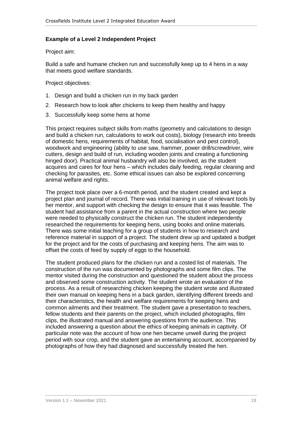#### **Example of a Level 2 Independent Project**

Project aim:

Build a safe and humane chicken run and successfully keep up to 4 hens in a way that meets good welfare standards.

Project objectives:

- 1. Design and build a chicken run in my back garden
- 2. Research how to look after chickens to keep them healthy and happy
- 3. Successfully keep some hens at home

This project requires subject skills from maths (geometry and calculations to design and build a chicken run, calculations to work out costs), biology (research into breeds of domestic hens, requirements of habitat, food, socialisation and pest control), woodwork and engineering (ability to use saw, hammer, power drill/screwdriver, wire cutters, design and build of run, including wooden joints and creating a functioning hinged door). Practical animal husbandry will also be involved, as the student acquires and cares for four hens – which includes daily feeding, regular cleaning and checking for parasites, etc. Some ethical issues can also be explored concerning animal welfare and rights.

The project took place over a 6-month period, and the student created and kept a project plan and journal of record. There was initial training in use of relevant tools by her mentor, and support with checking the design to ensure that it was feasible. The student had assistance from a parent in the actual construction where two people were needed to physically construct the chicken run. The student independently researched the requirements for keeping hens, using books and online materials. There was some initial teaching for a group of students in how to research and reference material in support of a project. The student drew up and updated a budget for the project and for the costs of purchasing and keeping hens. The aim was to offset the costs of feed by supply of eggs to the household.

The student produced plans for the chicken run and a costed list of materials. The construction of the run was documented by photographs and some film clips. The mentor visited during the construction and questioned the student about the process and observed some construction activity. The student wrote an evaluation of the process. As a result of researching chicken keeping the student wrote and illustrated their own manual on keeping hens in a back garden, identifying different breeds and their characteristics, the health and welfare requirements for keeping hens and common ailments and their treatment. The student gave a presentation to teachers, fellow students and their parents on the project, which included photographs, film clips, the illustrated manual and answering questions from the audience. This included answering a question about the ethics of keeping animals in captivity. Of particular note was the account of how one hen became unwell during the project period with sour crop, and the student gave an entertaining account, accompanied by photographs of how they had diagnosed and successfully treated the hen.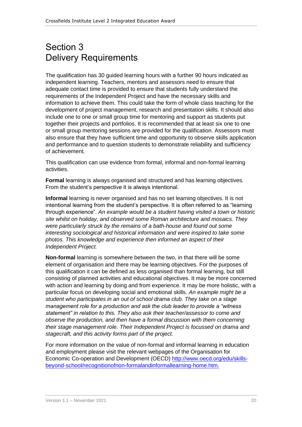## <span id="page-19-0"></span>Section 3 Delivery Requirements

The qualification has 30 guided learning hours with a further 90 hours indicated as independent learning. Teachers, mentors and assessors need to ensure that adequate contact time is provided to ensure that students fully understand the requirements of the Independent Project and have the necessary skills and information to achieve them. This could take the form of whole class teaching for the development of project management, research and presentation skills. It should also include one to one or small group time for mentoring and support as students put together their projects and portfolios. It is recommended that at least six one to one or small group mentoring sessions are provided for the qualification. Assessors must also ensure that they have sufficient time and opportunity to observe skills application and performance and to question students to demonstrate reliability and sufficiency of achievement.

This qualification can use evidence from formal, informal and non-formal learning activities.

**Formal** learning is always organised and structured and has learning objectives. From the student's perspective it is always intentional.

**Informal** learning is never organised and has no set learning objectives. It is not intentional learning from the student's perspective. It is often referred to as "learning through experience". *An example would be a student having visited a town or historic site whilst on holiday, and observed some Roman architecture and mosaics. They were particularly struck by the remains of a bath-house and found out some interesting sociological and historical information and were inspired to take some photos. This knowledge and experience then informed an aspect of their Independent Project.*

**Non-formal** learning is somewhere between the two, in that there will be some element of organisation and there may be learning objectives. For the purposes of this qualification it can be defined as less organised than formal learning, but still consisting of planned activities and educational objectives. It may be more concerned with action and learning by doing and from experience. It may be more holistic, with a particular focus on developing social and emotional skills. *An example might be a student who participates in an out of school drama club. They take on a stage management role for a production and ask the club leader to provide a "witness statement" in relation to this. They also ask their teacher/assessor to come and observe the production, and then have a formal discussion with them concerning their stage management role. Their Independent Project is focussed on drama and stagecraft, and this activity forms part of the project.*

For more information on the value of non-formal and informal learning in education and employment please visit the relevant webpages of the Organisation for Economic Co-operation and Development (OECD) [http://www.oecd.org/edu/skills](http://www.oecd.org/edu/skills-beyond-school/recognitionofnon-formalandinformallearning-home.htm)[beyond-school/recognitionofnon-formalandinformallearning-home.htm.](http://www.oecd.org/edu/skills-beyond-school/recognitionofnon-formalandinformallearning-home.htm)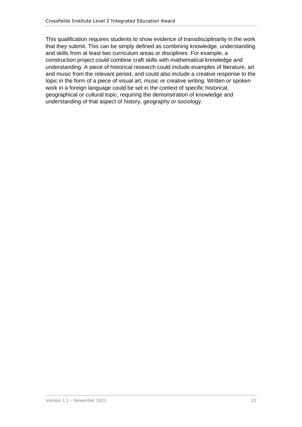This qualification requires students to show evidence of transdisciplinarity in the work that they submit. This can be simply defined as combining knowledge, understanding and skills from at least two curriculum areas or disciplines. For example, a construction project could combine craft skills with mathematical knowledge and understanding. A piece of historical research could include examples of literature, art and music from the relevant period, and could also include a creative response to the topic in the form of a piece of visual art, music or creative writing. Written or spoken work in a foreign language could be set in the context of specific historical, geographical or cultural topic, requiring the demonstration of knowledge and understanding of that aspect of history, geography or sociology.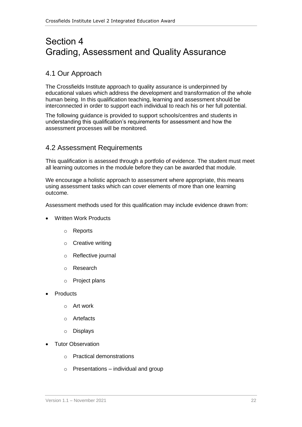## <span id="page-21-0"></span>Section 4 Grading, Assessment and Quality Assurance

### <span id="page-21-1"></span>4.1 Our Approach

The Crossfields Institute approach to quality assurance is underpinned by educational values which address the development and transformation of the whole human being. In this qualification teaching, learning and assessment should be interconnected in order to support each individual to reach his or her full potential.

The following guidance is provided to support schools/centres and students in understanding this qualification's requirements for assessment and how the assessment processes will be monitored.

### <span id="page-21-2"></span>4.2 Assessment Requirements

This qualification is assessed through a portfolio of evidence. The student must meet all learning outcomes in the module before they can be awarded that module.

We encourage a holistic approach to assessment where appropriate, this means using assessment tasks which can cover elements of more than one learning outcome.

Assessment methods used for this qualification may include evidence drawn from:

- Written Work Products
	- o Reports
	- o Creative writing
	- o Reflective journal
	- o Research
	- o Project plans
- **Products** 
	- o Art work
	- o Artefacts
	- o Displays
- Tutor Observation
	- o Practical demonstrations
	- $\circ$  Presentations individual and group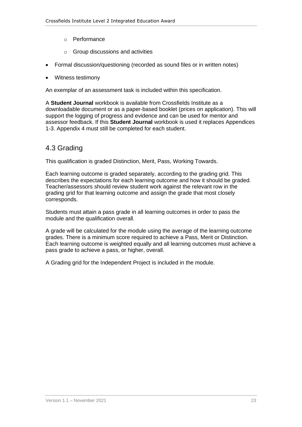- o Performance
- o Group discussions and activities
- Formal discussion/questioning (recorded as sound files or in written notes)
- Witness testimony

An exemplar of an assessment task is included within this specification.

A **Student Journal** workbook is available from Crossfields Institute as a downloadable document or as a paper-based booklet (prices on application). This will support the logging of progress and evidence and can be used for mentor and assessor feedback. If this **Student Journal** workbook is used it replaces Appendices 1-3. Appendix 4 must still be completed for each student.

### <span id="page-22-0"></span>4.3 Grading

This qualification is graded Distinction, Merit, Pass, Working Towards.

Each learning outcome is graded separately, according to the grading grid. This describes the expectations for each learning outcome and how it should be graded. Teacher/assessors should review student work against the relevant row in the grading grid for that learning outcome and assign the grade that most closely corresponds.

Students must attain a pass grade in all learning outcomes in order to pass the module and the qualification overall.

A grade will be calculated for the module using the average of the learning outcome grades. There is a minimum score required to achieve a Pass, Merit or Distinction. Each learning outcome is weighted equally and all learning outcomes must achieve a pass grade to achieve a pass, or higher, overall.

A Grading grid for the Independent Project is included in the module.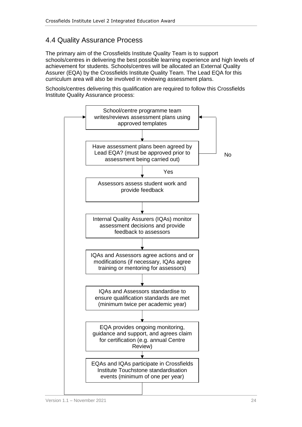### <span id="page-23-0"></span>4.4 Quality Assurance Process

The primary aim of the Crossfields Institute Quality Team is to support schools/centres in delivering the best possible learning experience and high levels of achievement for students. Schools/centres will be allocated an External Quality Assurer (EQA) by the Crossfields Institute Quality Team. The Lead EQA for this curriculum area will also be involved in reviewing assessment plans.

Schools/centres delivering this qualification are required to follow this Crossfields Institute Quality Assurance process:

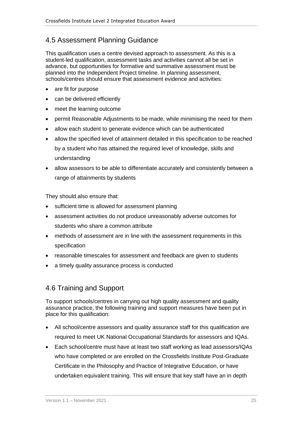### <span id="page-24-0"></span>4.5 Assessment Planning Guidance

This qualification uses a centre devised approach to assessment. As this is a student-led qualification, assessment tasks and activities cannot all be set in advance, but opportunities for formative and summative assessment must be planned into the Independent Project timeline. In planning assessment, schools/centres should ensure that assessment evidence and activities:

- are fit for purpose
- can be delivered efficiently
- meet the learning outcome
- permit Reasonable Adjustments to be made, while minimising the need for them
- allow each student to generate evidence which can be authenticated
- allow the specified level of attainment detailed in this specification to be reached by a student who has attained the required level of knowledge, skills and understanding
- allow assessors to be able to differentiate accurately and consistently between a range of attainments by students

They should also ensure that:

- sufficient time is allowed for assessment planning
- assessment activities do not produce unreasonably adverse outcomes for students who share a common attribute
- methods of assessment are in line with the assessment requirements in this specification
- reasonable timescales for assessment and feedback are given to students
- a timely quality assurance process is conducted

### <span id="page-24-1"></span>4.6 Training and Support

To support schools/centres in carrying out high quality assessment and quality assurance practice, the following training and support measures have been put in place for this qualification:

- All school/centre assessors and quality assurance staff for this qualification are required to meet UK National Occupational Standards for assessors and IQAs.
- Each school/centre must have at least two staff working as lead assessors/IQAs who have completed or are enrolled on the Crossfields Institute Post-Graduate Certificate in the Philosophy and Practice of Integrative Education, or have undertaken equivalent training. This will ensure that key staff have an in depth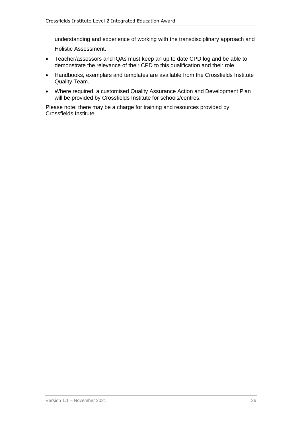understanding and experience of working with the transdisciplinary approach and

Holistic Assessment.

- Teacher/assessors and IQAs must keep an up to date CPD log and be able to demonstrate the relevance of their CPD to this qualification and their role.
- Handbooks, exemplars and templates are available from the Crossfields Institute Quality Team.
- Where required, a customised Quality Assurance Action and Development Plan will be provided by Crossfields Institute for schools/centres.

Please note: there may be a charge for training and resources provided by Crossfields Institute.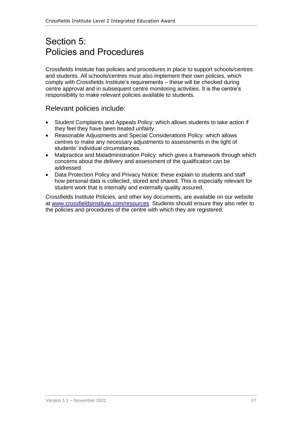## <span id="page-26-0"></span>Section 5: Policies and Procedures

Crossfields Institute has policies and procedures in place to support schools/centres and students. All schools/centres must also implement their own policies, which comply with Crossfields Institute's requirements – these will be checked during centre approval and in subsequent centre monitoring activities. It is the centre's responsibility to make relevant policies available to students.

#### Relevant policies include:

- Student Complaints and Appeals Policy: which allows students to take action if they feel they have been treated unfairly.
- Reasonable Adjustments and Special Considerations Policy: which allows centres to make any necessary adjustments to assessments in the light of students' individual circumstances.
- Malpractice and Maladministration Policy: which gives a framework through which concerns about the delivery and assessment of the qualification can be addressed.
- Data Protection Policy and Privacy Notice: these explain to students and staff how personal data is collected, stored and shared. This is especially relevant for student work that is internally and externally quality assured.

Crossfields Institute Policies, and other key documents, are available on our website at [www.crossfieldsinstitute.com/resources](http://www.crossfieldsinstitute.com/resources) Students should ensure they also refer to the policies and procedures of the centre with which they are registered.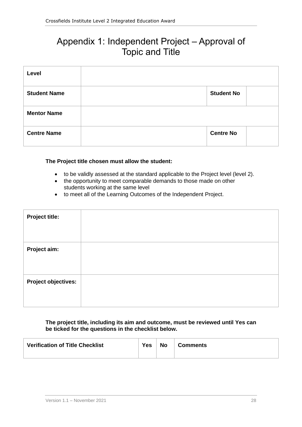## <span id="page-27-0"></span>Appendix 1: Independent Project – Approval of Topic and Title

| Level               |                   |  |
|---------------------|-------------------|--|
| <b>Student Name</b> | <b>Student No</b> |  |
| <b>Mentor Name</b>  |                   |  |
| <b>Centre Name</b>  | <b>Centre No</b>  |  |

#### **The Project title chosen must allow the student:**

- to be validly assessed at the standard applicable to the Project level (level 2).
- the opportunity to meet comparable demands to those made on other students working at the same level
- to meet all of the Learning Outcomes of the Independent Project.

#### **The project title, including its aim and outcome, must be reviewed until Yes can be ticked for the questions in the checklist below.**

| <b>Verification of Title Checklist</b> | Yes | No | <b>Comments</b> |
|----------------------------------------|-----|----|-----------------|
|----------------------------------------|-----|----|-----------------|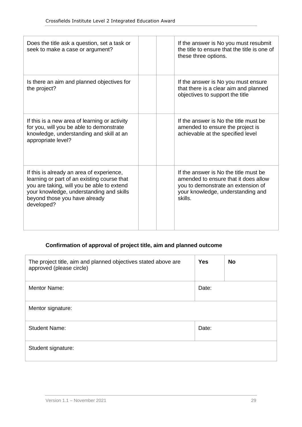| Does the title ask a question, set a task or<br>seek to make a case or argument?                                                                                                                                                  |  | If the answer is No you must resubmit<br>the title to ensure that the title is one of<br>these three options.                                                       |
|-----------------------------------------------------------------------------------------------------------------------------------------------------------------------------------------------------------------------------------|--|---------------------------------------------------------------------------------------------------------------------------------------------------------------------|
| Is there an aim and planned objectives for<br>the project?                                                                                                                                                                        |  | If the answer is No you must ensure<br>that there is a clear aim and planned<br>objectives to support the title                                                     |
| If this is a new area of learning or activity<br>for you, will you be able to demonstrate<br>knowledge, understanding and skill at an<br>appropriate level?                                                                       |  | If the answer is No the title must be<br>amended to ensure the project is<br>achievable at the specified level                                                      |
| If this is already an area of experience,<br>learning or part of an existing course that<br>you are taking, will you be able to extend<br>your knowledge, understanding and skills<br>beyond those you have already<br>developed? |  | If the answer is No the title must be<br>amended to ensure that it does allow<br>you to demonstrate an extension of<br>your knowledge, understanding and<br>skills. |

### **Confirmation of approval of project title, aim and planned outcome**

| The project title, aim and planned objectives stated above are<br>approved (please circle) | <b>Yes</b> | <b>No</b> |
|--------------------------------------------------------------------------------------------|------------|-----------|
| <b>Mentor Name:</b>                                                                        | Date:      |           |
| Mentor signature:                                                                          |            |           |
| <b>Student Name:</b>                                                                       | Date:      |           |
| Student signature:                                                                         |            |           |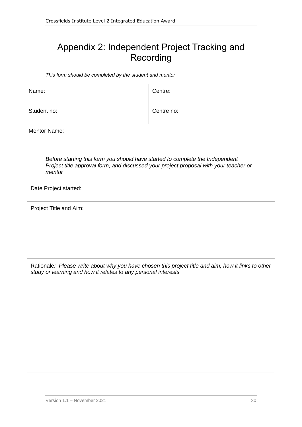## <span id="page-29-0"></span>Appendix 2: Independent Project Tracking and Recording

*This form should be completed by the student and mentor*

| Name:               | Centre:    |
|---------------------|------------|
| Student no:         | Centre no: |
| <b>Mentor Name:</b> |            |

*Before starting this form you should have started to complete the Independent Project title approval form, and discussed your project proposal with your teacher or mentor*

| Date Project started:                                                                                                                                                 |  |  |  |
|-----------------------------------------------------------------------------------------------------------------------------------------------------------------------|--|--|--|
| Project Title and Aim:                                                                                                                                                |  |  |  |
|                                                                                                                                                                       |  |  |  |
|                                                                                                                                                                       |  |  |  |
| Rationale: Please write about why you have chosen this project title and aim, how it links to other<br>study or learning and how it relates to any personal interests |  |  |  |
|                                                                                                                                                                       |  |  |  |
|                                                                                                                                                                       |  |  |  |
|                                                                                                                                                                       |  |  |  |
|                                                                                                                                                                       |  |  |  |
|                                                                                                                                                                       |  |  |  |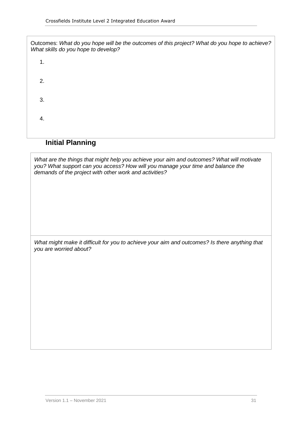| Outcomes: What do you hope will be the outcomes of this project? What do you hope to achieve?<br>What skills do you hope to develop? |
|--------------------------------------------------------------------------------------------------------------------------------------|
| 1.                                                                                                                                   |
| 2.                                                                                                                                   |
| 3.                                                                                                                                   |
| 4.                                                                                                                                   |
|                                                                                                                                      |

### **Initial Planning**

*What are the things that might help you achieve your aim and outcomes? What will motivate you? What support can you access? How will you manage your time and balance the demands of the project with other work and activities?*

*What might make it difficult for you to achieve your aim and outcomes? Is there anything that you are worried about?*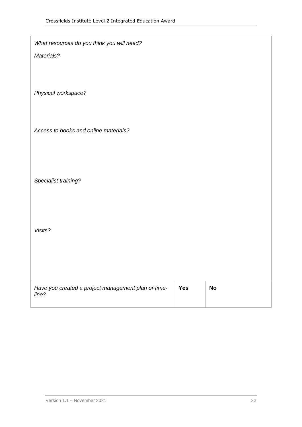| What resources do you think you will need?                   |            |           |
|--------------------------------------------------------------|------------|-----------|
| Materials?                                                   |            |           |
|                                                              |            |           |
| Physical workspace?                                          |            |           |
|                                                              |            |           |
|                                                              |            |           |
| Access to books and online materials?                        |            |           |
|                                                              |            |           |
|                                                              |            |           |
| Specialist training?                                         |            |           |
|                                                              |            |           |
|                                                              |            |           |
| Visits?                                                      |            |           |
|                                                              |            |           |
|                                                              |            |           |
|                                                              |            |           |
| Have you created a project management plan or time-<br>line? | <b>Yes</b> | <b>No</b> |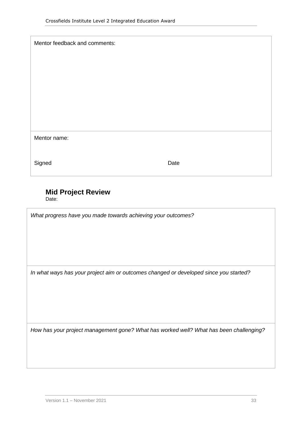| Mentor feedback and comments: |      |
|-------------------------------|------|
|                               |      |
|                               |      |
|                               |      |
|                               |      |
|                               |      |
| Mentor name:                  |      |
|                               |      |
| Signed                        | Date |

### **Mid Project Review**

Date:

*What progress have you made towards achieving your outcomes?*

*In what ways has your project aim or outcomes changed or developed since you started?*

*How has your project management gone? What has worked well? What has been challenging?*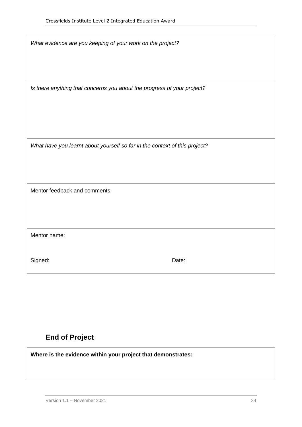| What evidence are you keeping of your work on the project?                 |       |
|----------------------------------------------------------------------------|-------|
| Is there anything that concerns you about the progress of your project?    |       |
| What have you learnt about yourself so far in the context of this project? |       |
| Mentor feedback and comments:                                              |       |
| Mentor name:                                                               |       |
| Signed:                                                                    | Date: |

### **End of Project**

**Where is the evidence within your project that demonstrates:**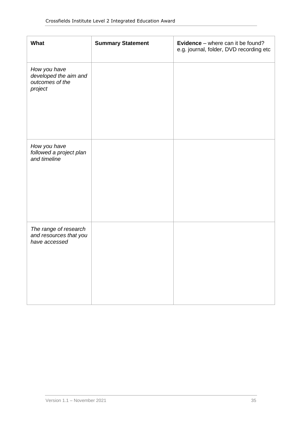| What                                                                | <b>Summary Statement</b> | <b>Evidence</b> – where can it be found?<br>e.g. journal, folder, DVD recording etc |
|---------------------------------------------------------------------|--------------------------|-------------------------------------------------------------------------------------|
| How you have<br>developed the aim and<br>outcomes of the<br>project |                          |                                                                                     |
| How you have<br>followed a project plan<br>and timeline             |                          |                                                                                     |
| The range of research<br>and resources that you<br>have accessed    |                          |                                                                                     |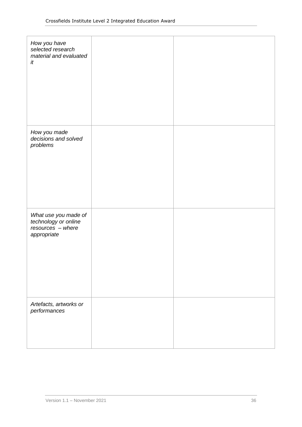| How you have<br>selected research<br>material and evaluated<br>it                |  |
|----------------------------------------------------------------------------------|--|
| How you made<br>decisions and solved<br>problems                                 |  |
| What use you made of<br>technology or online<br>resources - where<br>appropriate |  |
| Artefacts, artworks or<br>performances                                           |  |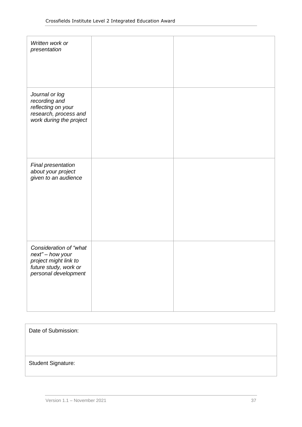| Written work or<br>presentation                                                                                      |  |
|----------------------------------------------------------------------------------------------------------------------|--|
|                                                                                                                      |  |
| Journal or log<br>recording and<br>reflecting on your<br>research, process and<br>work during the project            |  |
| Final presentation<br>about your project<br>given to an audience                                                     |  |
| Consideration of "what<br>next" - how your<br>project might link to<br>future study, work or<br>personal development |  |

| Date of Submission:       |  |  |
|---------------------------|--|--|
|                           |  |  |
|                           |  |  |
| <b>Student Signature:</b> |  |  |
|                           |  |  |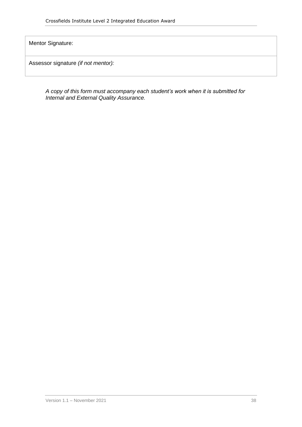Mentor Signature:

Assessor signature *(if not mentor):*

*A copy of this form must accompany each student's work when it is submitted for Internal and External Quality Assurance.*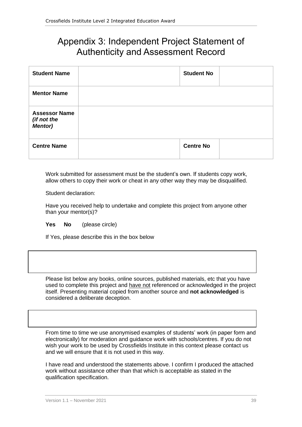## <span id="page-38-0"></span>Appendix 3: Independent Project Statement of Authenticity and Assessment Record

| <b>Student Name</b>                                   | <b>Student No</b> |  |
|-------------------------------------------------------|-------------------|--|
| <b>Mentor Name</b>                                    |                   |  |
| <b>Assessor Name</b><br>(if not the<br><b>Mentor)</b> |                   |  |
| <b>Centre Name</b>                                    | <b>Centre No</b>  |  |

Work submitted for assessment must be the student's own. If students copy work, allow others to copy their work or cheat in any other way they may be disqualified.

Student declaration:

Have you received help to undertake and complete this project from anyone other than your mentor(s)?

**Yes No** (please circle)

If Yes, please describe this in the box below

Please list below any books, online sources, published materials, etc that you have used to complete this project and have not referenced or acknowledged in the project itself. Presenting material copied from another source and **not acknowledged** is considered a deliberate deception.

From time to time we use anonymised examples of students' work (in paper form and electronically) for moderation and guidance work with schools/centres. If you do not wish your work to be used by Crossfields Institute in this context please contact us and we will ensure that it is not used in this way.

I have read and understood the statements above. I confirm I produced the attached work without assistance other than that which is acceptable as stated in the qualification specification.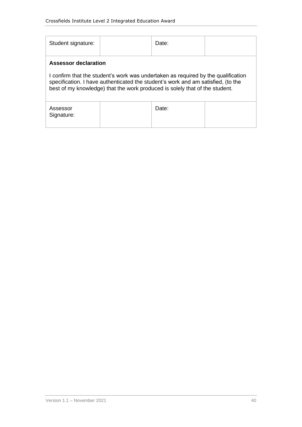| Student signature:                                                                                                                                                                                                                                                           |  | Date: |  |
|------------------------------------------------------------------------------------------------------------------------------------------------------------------------------------------------------------------------------------------------------------------------------|--|-------|--|
| Assessor declaration<br>I confirm that the student's work was undertaken as required by the qualification<br>specification. I have authenticated the student's work and am satisfied, (to the<br>best of my knowledge) that the work produced is solely that of the student. |  |       |  |
| Assessor<br>Signature:                                                                                                                                                                                                                                                       |  | Date: |  |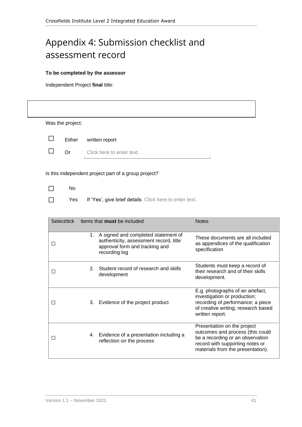## <span id="page-40-0"></span>Appendix 4: Submission checklist and assessment record

#### **To be completed by the assessor**

Independent Project **final** title:

|                | Was the project: |                                                                                                                                     |                                                                                                                                                                             |  |
|----------------|------------------|-------------------------------------------------------------------------------------------------------------------------------------|-----------------------------------------------------------------------------------------------------------------------------------------------------------------------------|--|
| $\perp$        | Either           | written report                                                                                                                      |                                                                                                                                                                             |  |
| $\perp$        | Or               | Click here to enter text.                                                                                                           |                                                                                                                                                                             |  |
|                |                  | Is this independent project part of a group project?                                                                                |                                                                                                                                                                             |  |
| $\Box$         | No               |                                                                                                                                     |                                                                                                                                                                             |  |
| $\blacksquare$ | <b>Yes</b>       | If 'Yes', give brief details Click here to enter text.                                                                              |                                                                                                                                                                             |  |
|                |                  |                                                                                                                                     |                                                                                                                                                                             |  |
|                | Select/tick      | Items that must be included                                                                                                         | <b>Notes</b>                                                                                                                                                                |  |
| $\Box$         |                  | 1. A signed and completed statement of<br>authenticity, assessment record, title<br>approval form and tracking and<br>recording log | These documents are all included<br>as appendices of the qualification<br>specification                                                                                     |  |
| $\Box$         |                  | 2. Student record of research and skills<br>development                                                                             | Students must keep a record of<br>their research and of their skills<br>development.                                                                                        |  |
| $\Box$         |                  | 3. Evidence of the project product                                                                                                  | E.g. photographs of an artefact,<br>investigation or production;<br>recording of performance; a piece<br>of creative writing; research based<br>written report.             |  |
| $\Box$         |                  | 4. Evidence of a presentation including a<br>reflection on the process                                                              | Presentation on the project<br>outcomes and process (this could<br>be a recording or an observation<br>record with supporting notes or<br>materials from the presentation). |  |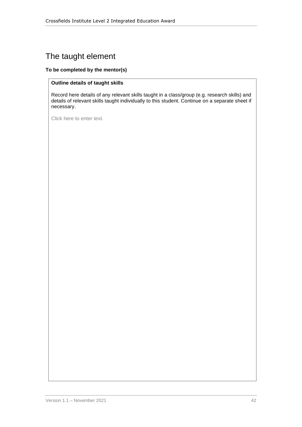## The taught element

#### **To be completed by the mentor(s)**

#### **Outline details of taught skills**

Record here details of any relevant skills taught in a class/group (e.g. research skills) and details of relevant skills taught individually to this student. Continue on a separate sheet if necessary.

Click here to enter text.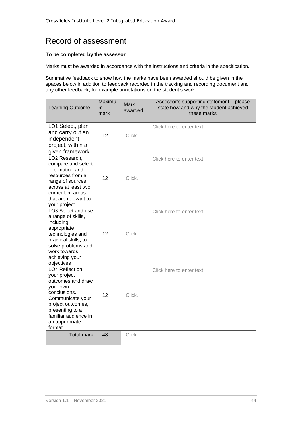## Record of assessment

#### **To be completed by the assessor**

Marks must be awarded in accordance with the instructions and criteria in the specification.

Summative feedback to show how the marks have been awarded should be given in the spaces below in addition to feedback recorded in the tracking and recording document and any other feedback, for example annotations on the student's work.

| Learning Outcome                                                                                                                                                                                | Maximu<br>m<br>mark | <b>Mark</b><br>awarded | Assessor's supporting statement - please<br>state how and why the student achieved<br>these marks |
|-------------------------------------------------------------------------------------------------------------------------------------------------------------------------------------------------|---------------------|------------------------|---------------------------------------------------------------------------------------------------|
| LO1 Select, plan<br>and carry out an<br>independent<br>project, within a<br>given framework                                                                                                     | 12                  | Click.                 | Click here to enter text.                                                                         |
| LO2 Research,<br>compare and select<br>information and<br>resources from a<br>range of sources<br>across at least two<br>curriculum areas<br>that are relevant to<br>your project               | 12                  | Click.                 | Click here to enter text.                                                                         |
| LO3 Select and use<br>a range of skills,<br>including<br>appropriate<br>technologies and<br>practical skills, to<br>solve problems and<br>work towards<br>achieving your<br>objectives          | 12                  | Click.                 | Click here to enter text.                                                                         |
| LO4 Reflect on<br>your project<br>outcomes and draw<br>your own<br>conclusions.<br>Communicate your<br>project outcomes,<br>presenting to a<br>familiar audience in<br>an appropriate<br>format | 12                  | Click.                 | Click here to enter text.                                                                         |
| <b>Total mark</b>                                                                                                                                                                               | 48                  | Click.                 |                                                                                                   |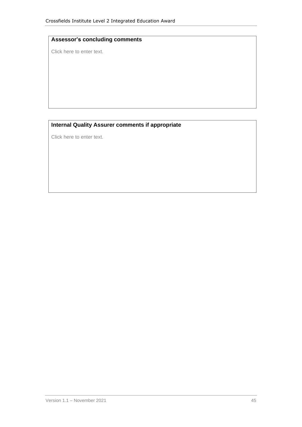#### **Assessor's concluding comments**

Click here to enter text.

#### **Internal Quality Assurer comments if appropriate**

Click here to enter text.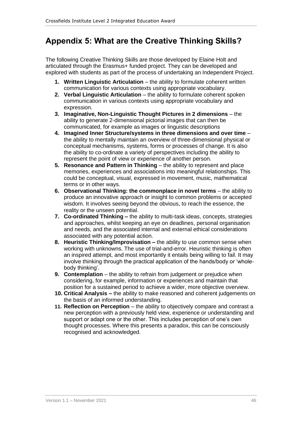## <span id="page-45-0"></span>**Appendix 5: What are the Creative Thinking Skills?**

The following Creative Thinking Skills are those developed by Elaine Holt and articulated through the Erasmus+ funded project. They can be developed and explored with students as part of the process of undertaking an Independent Project.

- **1. Written Linguistic Articulation** the ability to formulate coherent written communication for various contexts using appropriate vocabulary.
- **2. Verbal Linguistic Articulation** the ability to formulate coherent spoken communication in various contexts using appropriate vocabulary and expression.
- **3. Imaginative, Non-Linguistic Thought Pictures in 2 dimensions** the ability to generate 2-dimensional pictorial images that can then be communicated, for example as images or linguistic descriptions
- **4. Imagined Inner Structure/systems in three dimensions and over time**  the ability to mentally maintain an overview of three-dimensional physical or conceptual mechanisms, systems, forms or processes of change. It is also the ability to co-ordinate a variety of perspectives including the ability to represent the point of view or experience of another person.
- **5. Resonance and Pattern in Thinking** the ability to represent and place memories, experiences and associations into meaningful relationships. This could be conceptual, visual, expressed in movement, music, mathematical terms or in other ways.
- **6. Observational Thinking: the commonplace in novel terms the ability to** produce an innovative approach or insight to common problems or accepted wisdom. It involves seeing beyond the obvious, to reach the essence, the reality or the unseen potential.
- **7. Co-ordinated Thinking –** the ability to multi-task ideas, concepts, strategies and approaches, whilst keeping an eye on deadlines, personal organisation and needs, and the associated internal and external ethical considerations associated with any potential action.
- **8. Heuristic Thinking/Improvisation –** the ability to use common sense when working with unknowns. The use of trial-and-error. Heuristic thinking is often an inspired attempt, and most importantly it entails being willing to fail. It may involve thinking through the practical application of the hands/body or 'wholebody thinking'.
- **9. Contemplation** the ability to refrain from judgement or prejudice when considering, for example, information or experiences and maintain that position for a sustained period to achieve a wider, more objective overview.
- **10. Critical Analysis –** the ability to make reasoned and coherent judgements on the basis of an informed understanding.
- 11. **Reflection on Perception** the ability to objectively compare and contrast a new perception with a previously held view, experience or understanding and support or adapt one or the other. This includes perception of one's own thought processes. Where this presents a paradox, this can be consciously recognised and acknowledged.